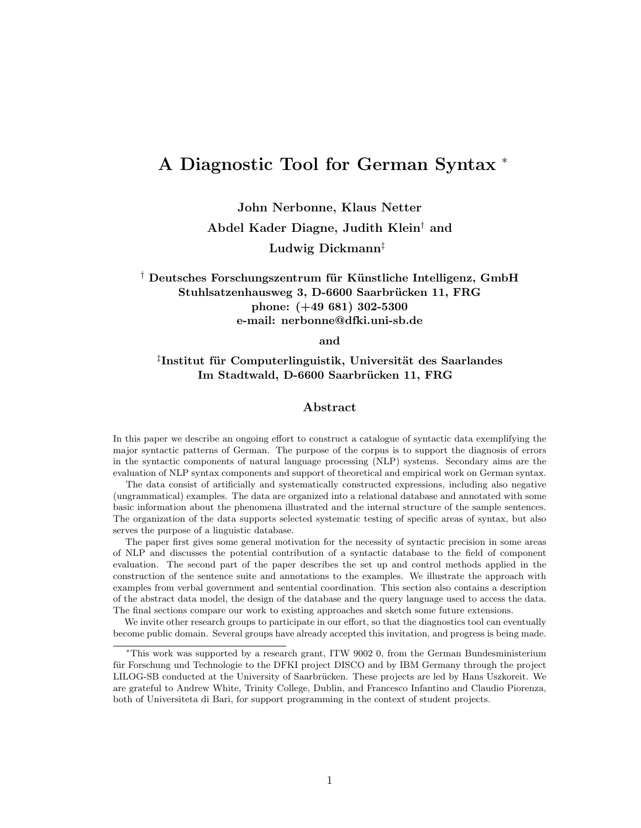# A Diagnostic Tool for German Syntax <sup>∗</sup>

John Nerbonne, Klaus Netter Abdel Kader Diagne, Judith Klein† and Ludwig Dickmann‡

## <sup>†</sup> Deutsches Forschungszentrum für Künstliche Intelligenz, GmbH Stuhlsatzenhausweg 3, D-6600 Saarbrücken 11, FRG phone: (+49 681) 302-5300 e-mail: nerbonne@dfki.uni-sb.de

and

### $^{\ddagger}$ Institut für Computerlinguistik, Universität des Saarlandes Im Stadtwald, D-6600 Saarbrücken 11, FRG

#### Abstract

In this paper we describe an ongoing effort to construct a catalogue of syntactic data exemplifying the major syntactic patterns of German. The purpose of the corpus is to support the diagnosis of errors in the syntactic components of natural language processing (NLP) systems. Secondary aims are the evaluation of NLP syntax components and support of theoretical and empirical work on German syntax.

The data consist of artificially and systematically constructed expressions, including also negative (ungrammatical) examples. The data are organized into a relational database and annotated with some basic information about the phenomena illustrated and the internal structure of the sample sentences. The organization of the data supports selected systematic testing of specific areas of syntax, but also serves the purpose of a linguistic database.

The paper first gives some general motivation for the necessity of syntactic precision in some areas of NLP and discusses the potential contribution of a syntactic database to the field of component evaluation. The second part of the paper describes the set up and control methods applied in the construction of the sentence suite and annotations to the examples. We illustrate the approach with examples from verbal government and sentential coordination. This section also contains a description of the abstract data model, the design of the database and the query language used to access the data. The final sections compare our work to existing approaches and sketch some future extensions.

We invite other research groups to participate in our effort, so that the diagnostics tool can eventually become public domain. Several groups have already accepted this invitation, and progress is being made.

<sup>∗</sup>This work was supported by a research grant, ITW 9002 0, from the German Bundesministerium für Forschung und Technologie to the DFKI project DISCO and by IBM Germany through the project LILOG-SB conducted at the University of Saarbrücken. These projects are led by Hans Uszkoreit. We are grateful to Andrew White, Trinity College, Dublin, and Francesco Infantino and Claudio Piorenza, both of Universiteta di Bari, for support programming in the context of student projects.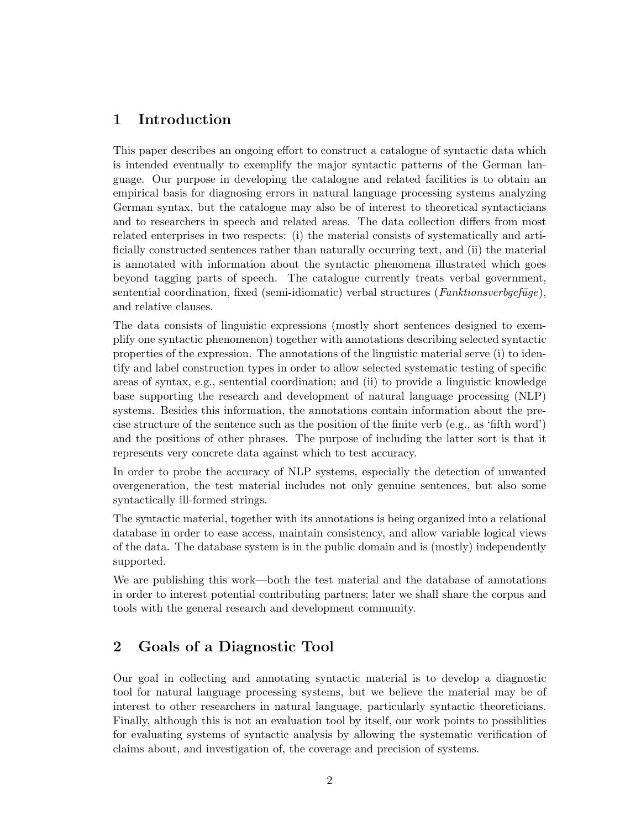# 1 Introduction

This paper describes an ongoing effort to construct a catalogue of syntactic data which is intended eventually to exemplify the major syntactic patterns of the German language. Our purpose in developing the catalogue and related facilities is to obtain an empirical basis for diagnosing errors in natural language processing systems analyzing German syntax, but the catalogue may also be of interest to theoretical syntacticians and to researchers in speech and related areas. The data collection differs from most related enterprises in two respects: (i) the material consists of systematically and artificially constructed sentences rather than naturally occurring text, and (ii) the material is annotated with information about the syntactic phenomena illustrated which goes beyond tagging parts of speech. The catalogue currently treats verbal government, sentential coordination, fixed (semi-idiomatic) verbal structures ( $Funktionsverbqefüqe$ ), and relative clauses.

The data consists of linguistic expressions (mostly short sentences designed to exemplify one syntactic phenomenon) together with annotations describing selected syntactic properties of the expression. The annotations of the linguistic material serve (i) to identify and label construction types in order to allow selected systematic testing of specific areas of syntax, e.g., sentential coordination; and (ii) to provide a linguistic knowledge base supporting the research and development of natural language processing (NLP) systems. Besides this information, the annotations contain information about the precise structure of the sentence such as the position of the finite verb (e.g., as 'fifth word') and the positions of other phrases. The purpose of including the latter sort is that it represents very concrete data against which to test accuracy.

In order to probe the accuracy of NLP systems, especially the detection of unwanted overgeneration, the test material includes not only genuine sentences, but also some syntactically ill-formed strings.

The syntactic material, together with its annotations is being organized into a relational database in order to ease access, maintain consistency, and allow variable logical views of the data. The database system is in the public domain and is (mostly) independently supported.

We are publishing this work—both the test material and the database of annotations in order to interest potential contributing partners; later we shall share the corpus and tools with the general research and development community.

# 2 Goals of a Diagnostic Tool

Our goal in collecting and annotating syntactic material is to develop a diagnostic tool for natural language processing systems, but we believe the material may be of interest to other researchers in natural language, particularly syntactic theoreticians. Finally, although this is not an evaluation tool by itself, our work points to possiblities for evaluating systems of syntactic analysis by allowing the systematic verification of claims about, and investigation of, the coverage and precision of systems.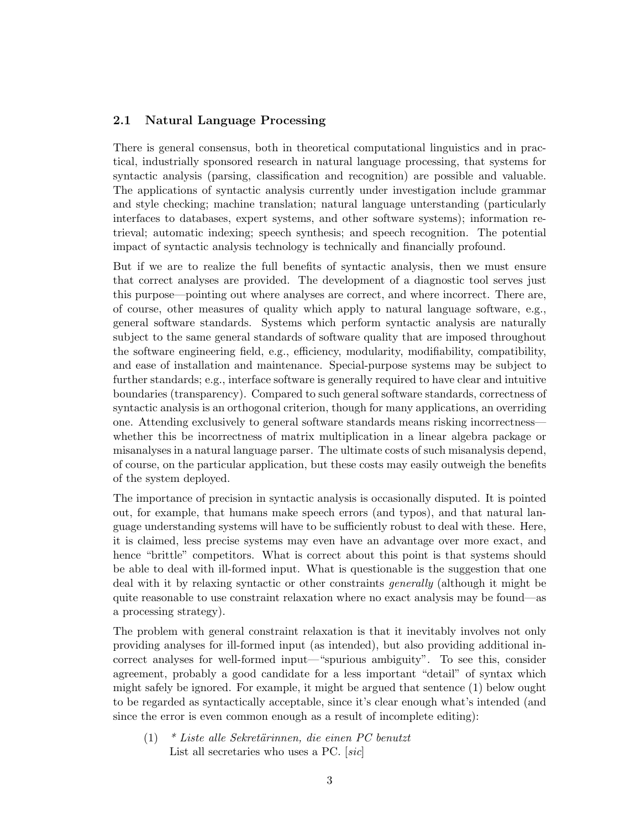### 2.1 Natural Language Processing

There is general consensus, both in theoretical computational linguistics and in practical, industrially sponsored research in natural language processing, that systems for syntactic analysis (parsing, classification and recognition) are possible and valuable. The applications of syntactic analysis currently under investigation include grammar and style checking; machine translation; natural language unterstanding (particularly interfaces to databases, expert systems, and other software systems); information retrieval; automatic indexing; speech synthesis; and speech recognition. The potential impact of syntactic analysis technology is technically and financially profound.

But if we are to realize the full benefits of syntactic analysis, then we must ensure that correct analyses are provided. The development of a diagnostic tool serves just this purpose—pointing out where analyses are correct, and where incorrect. There are, of course, other measures of quality which apply to natural language software, e.g., general software standards. Systems which perform syntactic analysis are naturally subject to the same general standards of software quality that are imposed throughout the software engineering field, e.g., efficiency, modularity, modifiability, compatibility, and ease of installation and maintenance. Special-purpose systems may be subject to further standards; e.g., interface software is generally required to have clear and intuitive boundaries (transparency). Compared to such general software standards, correctness of syntactic analysis is an orthogonal criterion, though for many applications, an overriding one. Attending exclusively to general software standards means risking incorrectness whether this be incorrectness of matrix multiplication in a linear algebra package or misanalyses in a natural language parser. The ultimate costs of such misanalysis depend, of course, on the particular application, but these costs may easily outweigh the benefits of the system deployed.

The importance of precision in syntactic analysis is occasionally disputed. It is pointed out, for example, that humans make speech errors (and typos), and that natural language understanding systems will have to be sufficiently robust to deal with these. Here, it is claimed, less precise systems may even have an advantage over more exact, and hence "brittle" competitors. What is correct about this point is that systems should be able to deal with ill-formed input. What is questionable is the suggestion that one deal with it by relaxing syntactic or other constraints generally (although it might be quite reasonable to use constraint relaxation where no exact analysis may be found—as a processing strategy).

The problem with general constraint relaxation is that it inevitably involves not only providing analyses for ill-formed input (as intended), but also providing additional incorrect analyses for well-formed input—"spurious ambiguity". To see this, consider agreement, probably a good candidate for a less important "detail" of syntax which might safely be ignored. For example, it might be argued that sentence (1) below ought to be regarded as syntactically acceptable, since it's clear enough what's intended (and since the error is even common enough as a result of incomplete editing):

 $(1)$  \* Liste alle Sekretärinnen, die einen PC benutzt List all secretaries who uses a PC. [sic]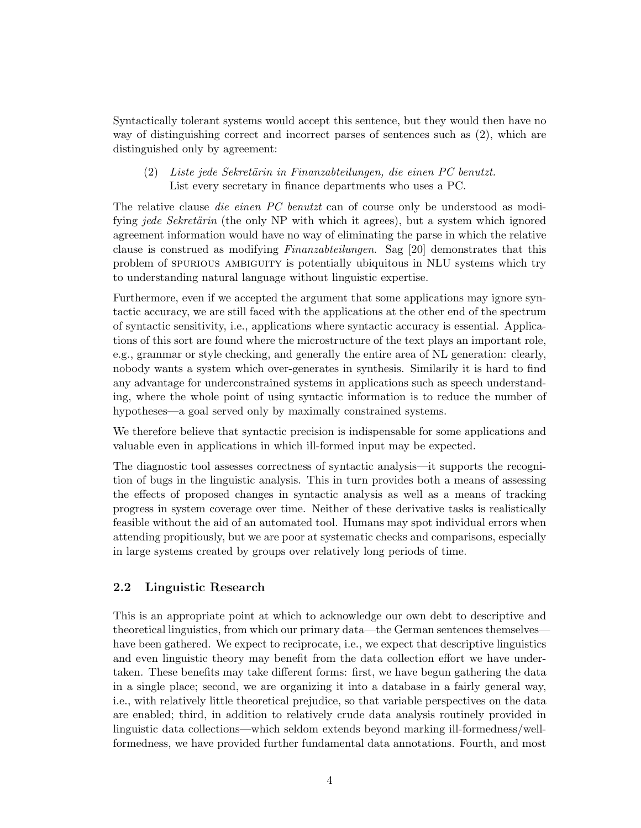Syntactically tolerant systems would accept this sentence, but they would then have no way of distinguishing correct and incorrect parses of sentences such as (2), which are distinguished only by agreement:

### (2) Liste jede Sekretärin in Finanzabteilungen, die einen PC benutzt. List every secretary in finance departments who uses a PC.

The relative clause *die einen PC benutzt* can of course only be understood as modifying jede Sekretärin (the only NP with which it agrees), but a system which ignored agreement information would have no way of eliminating the parse in which the relative clause is construed as modifying Finanzabteilungen. Sag [20] demonstrates that this problem of spurious ambiguity is potentially ubiquitous in NLU systems which try to understanding natural language without linguistic expertise.

Furthermore, even if we accepted the argument that some applications may ignore syntactic accuracy, we are still faced with the applications at the other end of the spectrum of syntactic sensitivity, i.e., applications where syntactic accuracy is essential. Applications of this sort are found where the microstructure of the text plays an important role, e.g., grammar or style checking, and generally the entire area of NL generation: clearly, nobody wants a system which over-generates in synthesis. Similarily it is hard to find any advantage for underconstrained systems in applications such as speech understanding, where the whole point of using syntactic information is to reduce the number of hypotheses—a goal served only by maximally constrained systems.

We therefore believe that syntactic precision is indispensable for some applications and valuable even in applications in which ill-formed input may be expected.

The diagnostic tool assesses correctness of syntactic analysis—it supports the recognition of bugs in the linguistic analysis. This in turn provides both a means of assessing the effects of proposed changes in syntactic analysis as well as a means of tracking progress in system coverage over time. Neither of these derivative tasks is realistically feasible without the aid of an automated tool. Humans may spot individual errors when attending propitiously, but we are poor at systematic checks and comparisons, especially in large systems created by groups over relatively long periods of time.

#### 2.2 Linguistic Research

This is an appropriate point at which to acknowledge our own debt to descriptive and theoretical linguistics, from which our primary data—the German sentences themselves have been gathered. We expect to reciprocate, i.e., we expect that descriptive linguistics and even linguistic theory may benefit from the data collection effort we have undertaken. These benefits may take different forms: first, we have begun gathering the data in a single place; second, we are organizing it into a database in a fairly general way, i.e., with relatively little theoretical prejudice, so that variable perspectives on the data are enabled; third, in addition to relatively crude data analysis routinely provided in linguistic data collections—which seldom extends beyond marking ill-formedness/wellformedness, we have provided further fundamental data annotations. Fourth, and most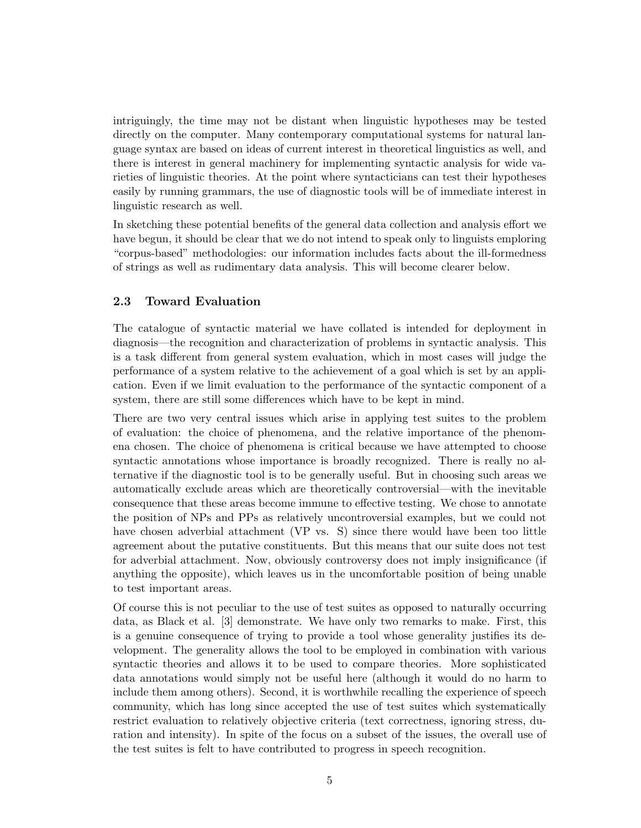intriguingly, the time may not be distant when linguistic hypotheses may be tested directly on the computer. Many contemporary computational systems for natural language syntax are based on ideas of current interest in theoretical linguistics as well, and there is interest in general machinery for implementing syntactic analysis for wide varieties of linguistic theories. At the point where syntacticians can test their hypotheses easily by running grammars, the use of diagnostic tools will be of immediate interest in linguistic research as well.

In sketching these potential benefits of the general data collection and analysis effort we have begun, it should be clear that we do not intend to speak only to linguists emploring "corpus-based" methodologies: our information includes facts about the ill-formedness of strings as well as rudimentary data analysis. This will become clearer below.

### 2.3 Toward Evaluation

The catalogue of syntactic material we have collated is intended for deployment in diagnosis—the recognition and characterization of problems in syntactic analysis. This is a task different from general system evaluation, which in most cases will judge the performance of a system relative to the achievement of a goal which is set by an application. Even if we limit evaluation to the performance of the syntactic component of a system, there are still some differences which have to be kept in mind.

There are two very central issues which arise in applying test suites to the problem of evaluation: the choice of phenomena, and the relative importance of the phenomena chosen. The choice of phenomena is critical because we have attempted to choose syntactic annotations whose importance is broadly recognized. There is really no alternative if the diagnostic tool is to be generally useful. But in choosing such areas we automatically exclude areas which are theoretically controversial—with the inevitable consequence that these areas become immune to effective testing. We chose to annotate the position of NPs and PPs as relatively uncontroversial examples, but we could not have chosen adverbial attachment (VP vs. S) since there would have been too little agreement about the putative constituents. But this means that our suite does not test for adverbial attachment. Now, obviously controversy does not imply insignificance (if anything the opposite), which leaves us in the uncomfortable position of being unable to test important areas.

Of course this is not peculiar to the use of test suites as opposed to naturally occurring data, as Black et al. [3] demonstrate. We have only two remarks to make. First, this is a genuine consequence of trying to provide a tool whose generality justifies its development. The generality allows the tool to be employed in combination with various syntactic theories and allows it to be used to compare theories. More sophisticated data annotations would simply not be useful here (although it would do no harm to include them among others). Second, it is worthwhile recalling the experience of speech community, which has long since accepted the use of test suites which systematically restrict evaluation to relatively objective criteria (text correctness, ignoring stress, duration and intensity). In spite of the focus on a subset of the issues, the overall use of the test suites is felt to have contributed to progress in speech recognition.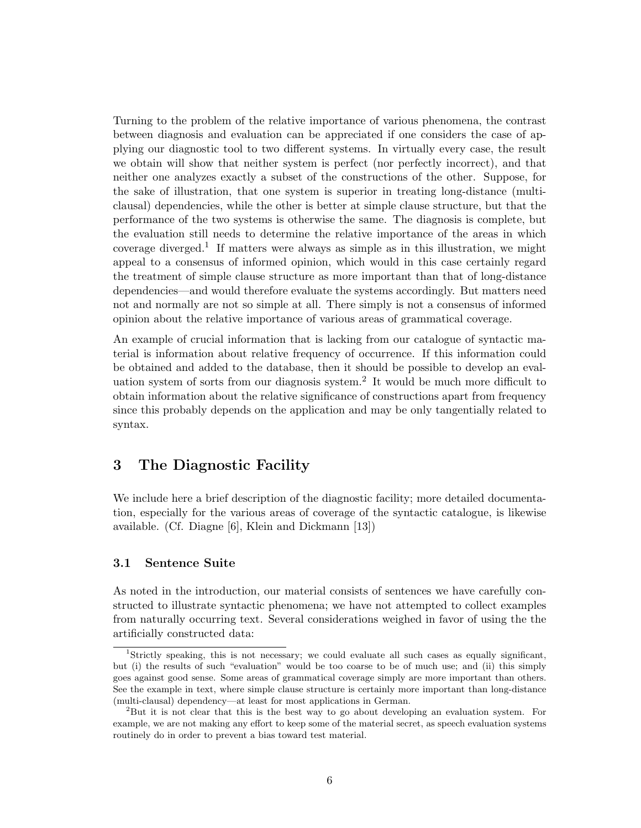Turning to the problem of the relative importance of various phenomena, the contrast between diagnosis and evaluation can be appreciated if one considers the case of applying our diagnostic tool to two different systems. In virtually every case, the result we obtain will show that neither system is perfect (nor perfectly incorrect), and that neither one analyzes exactly a subset of the constructions of the other. Suppose, for the sake of illustration, that one system is superior in treating long-distance (multiclausal) dependencies, while the other is better at simple clause structure, but that the performance of the two systems is otherwise the same. The diagnosis is complete, but the evaluation still needs to determine the relative importance of the areas in which coverage diverged.<sup>1</sup> If matters were always as simple as in this illustration, we might appeal to a consensus of informed opinion, which would in this case certainly regard the treatment of simple clause structure as more important than that of long-distance dependencies—and would therefore evaluate the systems accordingly. But matters need not and normally are not so simple at all. There simply is not a consensus of informed opinion about the relative importance of various areas of grammatical coverage.

An example of crucial information that is lacking from our catalogue of syntactic material is information about relative frequency of occurrence. If this information could be obtained and added to the database, then it should be possible to develop an evaluation system of sorts from our diagnosis system.<sup>2</sup> It would be much more difficult to obtain information about the relative significance of constructions apart from frequency since this probably depends on the application and may be only tangentially related to syntax.

# 3 The Diagnostic Facility

We include here a brief description of the diagnostic facility; more detailed documentation, especially for the various areas of coverage of the syntactic catalogue, is likewise available. (Cf. Diagne [6], Klein and Dickmann [13])

#### 3.1 Sentence Suite

As noted in the introduction, our material consists of sentences we have carefully constructed to illustrate syntactic phenomena; we have not attempted to collect examples from naturally occurring text. Several considerations weighed in favor of using the the artificially constructed data:

<sup>1</sup>Strictly speaking, this is not necessary; we could evaluate all such cases as equally significant, but (i) the results of such "evaluation" would be too coarse to be of much use; and (ii) this simply goes against good sense. Some areas of grammatical coverage simply are more important than others. See the example in text, where simple clause structure is certainly more important than long-distance (multi-clausal) dependency—at least for most applications in German.

 ${}^{2}$ But it is not clear that this is the best way to go about developing an evaluation system. For example, we are not making any effort to keep some of the material secret, as speech evaluation systems routinely do in order to prevent a bias toward test material.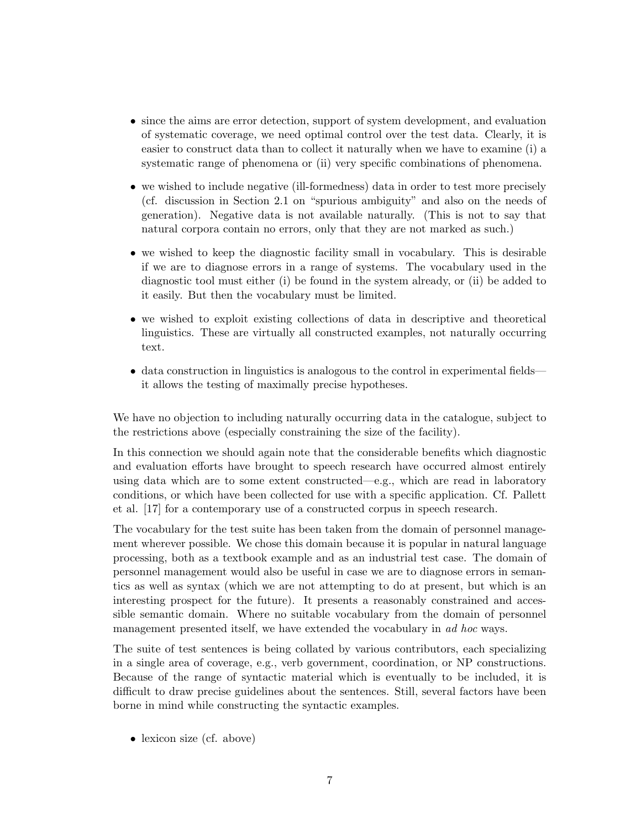- since the aims are error detection, support of system development, and evaluation of systematic coverage, we need optimal control over the test data. Clearly, it is easier to construct data than to collect it naturally when we have to examine (i) a systematic range of phenomena or (ii) very specific combinations of phenomena.
- we wished to include negative (ill-formedness) data in order to test more precisely (cf. discussion in Section 2.1 on "spurious ambiguity" and also on the needs of generation). Negative data is not available naturally. (This is not to say that natural corpora contain no errors, only that they are not marked as such.)
- we wished to keep the diagnostic facility small in vocabulary. This is desirable if we are to diagnose errors in a range of systems. The vocabulary used in the diagnostic tool must either (i) be found in the system already, or (ii) be added to it easily. But then the vocabulary must be limited.
- we wished to exploit existing collections of data in descriptive and theoretical linguistics. These are virtually all constructed examples, not naturally occurring text.
- data construction in linguistics is analogous to the control in experimental fields it allows the testing of maximally precise hypotheses.

We have no objection to including naturally occurring data in the catalogue, subject to the restrictions above (especially constraining the size of the facility).

In this connection we should again note that the considerable benefits which diagnostic and evaluation efforts have brought to speech research have occurred almost entirely using data which are to some extent constructed—e.g., which are read in laboratory conditions, or which have been collected for use with a specific application. Cf. Pallett et al. [17] for a contemporary use of a constructed corpus in speech research.

The vocabulary for the test suite has been taken from the domain of personnel management wherever possible. We chose this domain because it is popular in natural language processing, both as a textbook example and as an industrial test case. The domain of personnel management would also be useful in case we are to diagnose errors in semantics as well as syntax (which we are not attempting to do at present, but which is an interesting prospect for the future). It presents a reasonably constrained and accessible semantic domain. Where no suitable vocabulary from the domain of personnel management presented itself, we have extended the vocabulary in ad hoc ways.

The suite of test sentences is being collated by various contributors, each specializing in a single area of coverage, e.g., verb government, coordination, or NP constructions. Because of the range of syntactic material which is eventually to be included, it is difficult to draw precise guidelines about the sentences. Still, several factors have been borne in mind while constructing the syntactic examples.

• lexicon size (cf. above)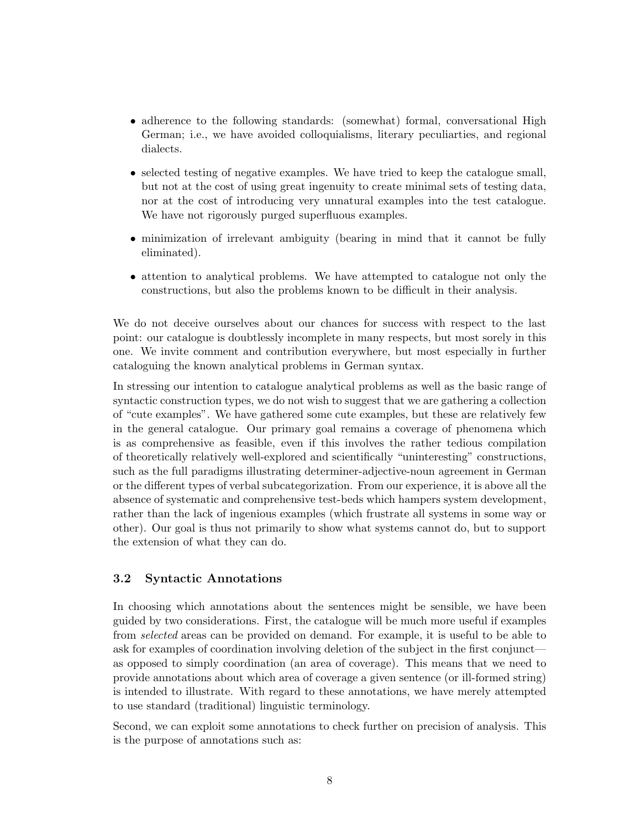- adherence to the following standards: (somewhat) formal, conversational High German; i.e., we have avoided colloquialisms, literary peculiarties, and regional dialects.
- selected testing of negative examples. We have tried to keep the catalogue small, but not at the cost of using great ingenuity to create minimal sets of testing data, nor at the cost of introducing very unnatural examples into the test catalogue. We have not rigorously purged superfluous examples.
- minimization of irrelevant ambiguity (bearing in mind that it cannot be fully eliminated).
- attention to analytical problems. We have attempted to catalogue not only the constructions, but also the problems known to be difficult in their analysis.

We do not deceive ourselves about our chances for success with respect to the last point: our catalogue is doubtlessly incomplete in many respects, but most sorely in this one. We invite comment and contribution everywhere, but most especially in further cataloguing the known analytical problems in German syntax.

In stressing our intention to catalogue analytical problems as well as the basic range of syntactic construction types, we do not wish to suggest that we are gathering a collection of "cute examples". We have gathered some cute examples, but these are relatively few in the general catalogue. Our primary goal remains a coverage of phenomena which is as comprehensive as feasible, even if this involves the rather tedious compilation of theoretically relatively well-explored and scientifically "uninteresting" constructions, such as the full paradigms illustrating determiner-adjective-noun agreement in German or the different types of verbal subcategorization. From our experience, it is above all the absence of systematic and comprehensive test-beds which hampers system development, rather than the lack of ingenious examples (which frustrate all systems in some way or other). Our goal is thus not primarily to show what systems cannot do, but to support the extension of what they can do.

#### 3.2 Syntactic Annotations

In choosing which annotations about the sentences might be sensible, we have been guided by two considerations. First, the catalogue will be much more useful if examples from selected areas can be provided on demand. For example, it is useful to be able to ask for examples of coordination involving deletion of the subject in the first conjunct as opposed to simply coordination (an area of coverage). This means that we need to provide annotations about which area of coverage a given sentence (or ill-formed string) is intended to illustrate. With regard to these annotations, we have merely attempted to use standard (traditional) linguistic terminology.

Second, we can exploit some annotations to check further on precision of analysis. This is the purpose of annotations such as: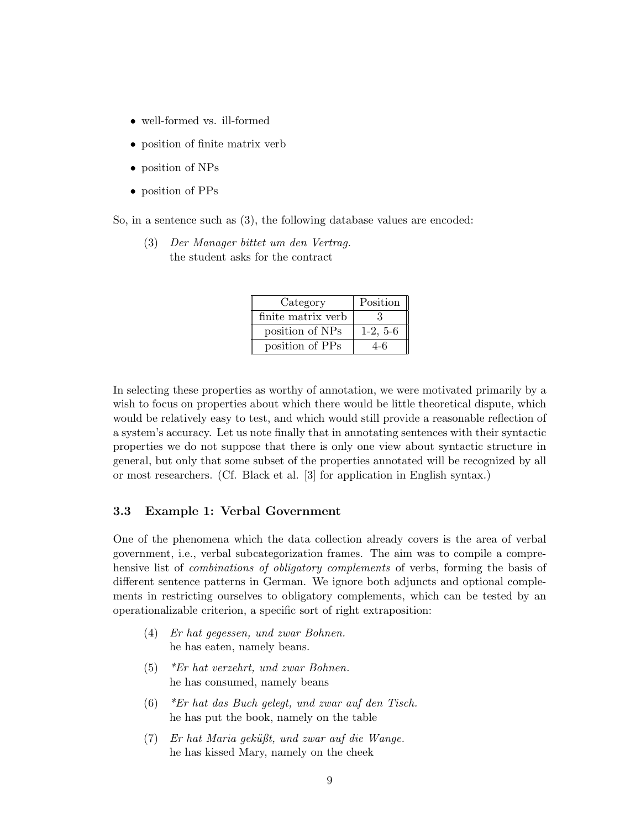- well-formed vs. ill-formed
- position of finite matrix verb
- position of NPs
- position of PPs

So, in a sentence such as (3), the following database values are encoded:

(3) Der Manager bittet um den Vertrag. the student asks for the contract

| Category           | Position   |
|--------------------|------------|
| finite matrix verb |            |
| position of NPs    | $1-2, 5-6$ |
| position of PPs    | 4-6        |

In selecting these properties as worthy of annotation, we were motivated primarily by a wish to focus on properties about which there would be little theoretical dispute, which would be relatively easy to test, and which would still provide a reasonable reflection of a system's accuracy. Let us note finally that in annotating sentences with their syntactic properties we do not suppose that there is only one view about syntactic structure in general, but only that some subset of the properties annotated will be recognized by all or most researchers. (Cf. Black et al. [3] for application in English syntax.)

#### 3.3 Example 1: Verbal Government

One of the phenomena which the data collection already covers is the area of verbal government, i.e., verbal subcategorization frames. The aim was to compile a comprehensive list of *combinations of obligatory complements* of verbs, forming the basis of different sentence patterns in German. We ignore both adjuncts and optional complements in restricting ourselves to obligatory complements, which can be tested by an operationalizable criterion, a specific sort of right extraposition:

- (4) Er hat gegessen, und zwar Bohnen. he has eaten, namely beans.
- (5) \*Er hat verzehrt, und zwar Bohnen. he has consumed, namely beans
- (6) \*Er hat das Buch gelegt, und zwar auf den Tisch. he has put the book, namely on the table
- $(7)$  Er hat Maria geküßt, und zwar auf die Wange. he has kissed Mary, namely on the cheek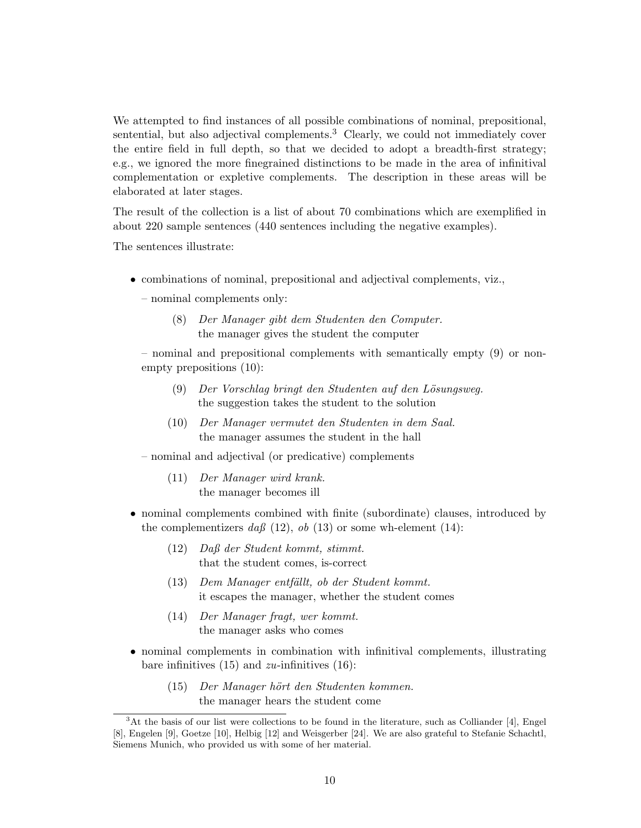We attempted to find instances of all possible combinations of nominal, prepositional, sentential, but also adjectival complements.<sup>3</sup> Clearly, we could not immediately cover the entire field in full depth, so that we decided to adopt a breadth-first strategy; e.g., we ignored the more finegrained distinctions to be made in the area of infinitival complementation or expletive complements. The description in these areas will be elaborated at later stages.

The result of the collection is a list of about 70 combinations which are exemplified in about 220 sample sentences (440 sentences including the negative examples).

The sentences illustrate:

- combinations of nominal, prepositional and adjectival complements, viz.,
	- nominal complements only:
		- (8) Der Manager gibt dem Studenten den Computer. the manager gives the student the computer

– nominal and prepositional complements with semantically empty (9) or nonempty prepositions (10):

- (9) Der Vorschlag bringt den Studenten auf den Lösungsweg. the suggestion takes the student to the solution
- (10) Der Manager vermutet den Studenten in dem Saal. the manager assumes the student in the hall

– nominal and adjectival (or predicative) complements

- (11) Der Manager wird krank. the manager becomes ill
- nominal complements combined with finite (subordinate) clauses, introduced by the complementizers  $da\beta$  (12),  $ob$  (13) or some wh-element (14):
	- (12) Daß der Student kommt, stimmt. that the student comes, is-correct
	- (13) Dem Manager entfällt, ob der Student kommt. it escapes the manager, whether the student comes
	- (14) Der Manager fragt, wer kommt. the manager asks who comes
- nominal complements in combination with infinitival complements, illustrating bare infinitives  $(15)$  and zu-infinitives  $(16)$ :
	- (15) Der Manager hört den Studenten kommen. the manager hears the student come

<sup>3</sup>At the basis of our list were collections to be found in the literature, such as Colliander [4], Engel [8], Engelen [9], Goetze [10], Helbig [12] and Weisgerber [24]. We are also grateful to Stefanie Schachtl, Siemens Munich, who provided us with some of her material.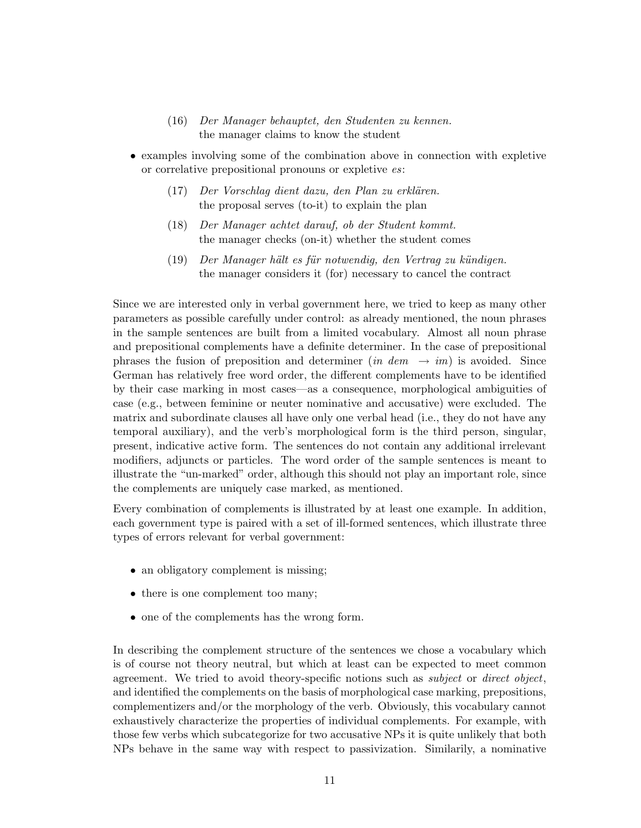- (16) Der Manager behauptet, den Studenten zu kennen. the manager claims to know the student
- examples involving some of the combination above in connection with expletive or correlative prepositional pronouns or expletive es:
	- $(17)$  Der Vorschlag dient dazu, den Plan zu erklären. the proposal serves (to-it) to explain the plan
	- (18) Der Manager achtet darauf, ob der Student kommt. the manager checks (on-it) whether the student comes
	- $(19)$  Der Manager hält es für notwendig, den Vertrag zu kündigen. the manager considers it (for) necessary to cancel the contract

Since we are interested only in verbal government here, we tried to keep as many other parameters as possible carefully under control: as already mentioned, the noun phrases in the sample sentences are built from a limited vocabulary. Almost all noun phrase and prepositional complements have a definite determiner. In the case of prepositional phrases the fusion of preposition and determiner (in dem  $\rightarrow im$ ) is avoided. Since German has relatively free word order, the different complements have to be identified by their case marking in most cases—as a consequence, morphological ambiguities of case (e.g., between feminine or neuter nominative and accusative) were excluded. The matrix and subordinate clauses all have only one verbal head (i.e., they do not have any temporal auxiliary), and the verb's morphological form is the third person, singular, present, indicative active form. The sentences do not contain any additional irrelevant modifiers, adjuncts or particles. The word order of the sample sentences is meant to illustrate the "un-marked" order, although this should not play an important role, since the complements are uniquely case marked, as mentioned.

Every combination of complements is illustrated by at least one example. In addition, each government type is paired with a set of ill-formed sentences, which illustrate three types of errors relevant for verbal government:

- an obligatory complement is missing;
- there is one complement too many;
- one of the complements has the wrong form.

In describing the complement structure of the sentences we chose a vocabulary which is of course not theory neutral, but which at least can be expected to meet common agreement. We tried to avoid theory-specific notions such as *subject* or *direct object*, and identified the complements on the basis of morphological case marking, prepositions, complementizers and/or the morphology of the verb. Obviously, this vocabulary cannot exhaustively characterize the properties of individual complements. For example, with those few verbs which subcategorize for two accusative NPs it is quite unlikely that both NPs behave in the same way with respect to passivization. Similarily, a nominative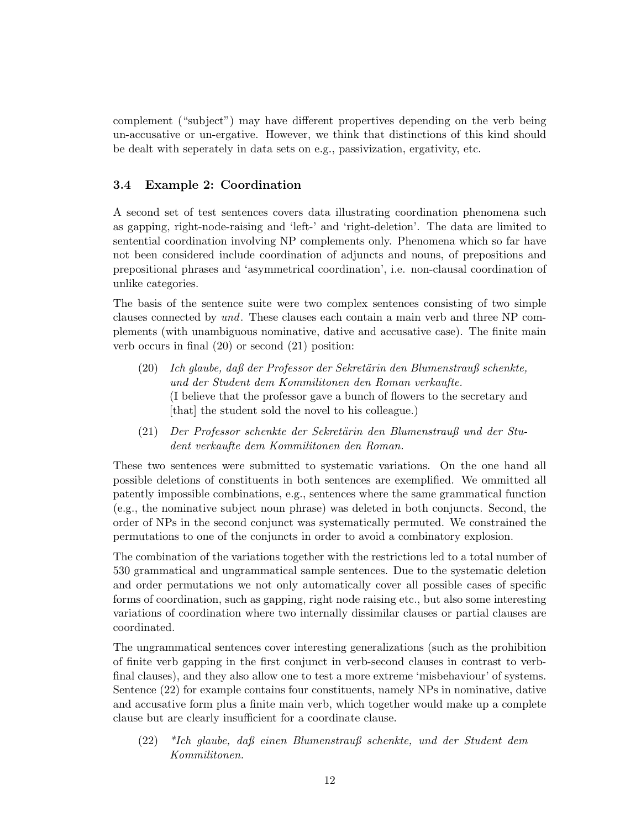complement ("subject") may have different propertives depending on the verb being un-accusative or un-ergative. However, we think that distinctions of this kind should be dealt with seperately in data sets on e.g., passivization, ergativity, etc.

### 3.4 Example 2: Coordination

A second set of test sentences covers data illustrating coordination phenomena such as gapping, right-node-raising and 'left-' and 'right-deletion'. The data are limited to sentential coordination involving NP complements only. Phenomena which so far have not been considered include coordination of adjuncts and nouns, of prepositions and prepositional phrases and 'asymmetrical coordination', i.e. non-clausal coordination of unlike categories.

The basis of the sentence suite were two complex sentences consisting of two simple clauses connected by und. These clauses each contain a main verb and three NP complements (with unambiguous nominative, dative and accusative case). The finite main verb occurs in final (20) or second (21) position:

- $(20)$  Ich glaube, daß der Professor der Sekretärin den Blumenstrauß schenkte, und der Student dem Kommilitonen den Roman verkaufte. (I believe that the professor gave a bunch of flowers to the secretary and [that] the student sold the novel to his colleague.)
- (21) Der Professor schenkte der Sekretärin den Blumenstrauß und der Student verkaufte dem Kommilitonen den Roman.

These two sentences were submitted to systematic variations. On the one hand all possible deletions of constituents in both sentences are exemplified. We ommitted all patently impossible combinations, e.g., sentences where the same grammatical function (e.g., the nominative subject noun phrase) was deleted in both conjuncts. Second, the order of NPs in the second conjunct was systematically permuted. We constrained the permutations to one of the conjuncts in order to avoid a combinatory explosion.

The combination of the variations together with the restrictions led to a total number of 530 grammatical and ungrammatical sample sentences. Due to the systematic deletion and order permutations we not only automatically cover all possible cases of specific forms of coordination, such as gapping, right node raising etc., but also some interesting variations of coordination where two internally dissimilar clauses or partial clauses are coordinated.

The ungrammatical sentences cover interesting generalizations (such as the prohibition of finite verb gapping in the first conjunct in verb-second clauses in contrast to verbfinal clauses), and they also allow one to test a more extreme 'misbehaviour' of systems. Sentence (22) for example contains four constituents, namely NPs in nominative, dative and accusative form plus a finite main verb, which together would make up a complete clause but are clearly insufficient for a coordinate clause.

(22) \*Ich glaube, daß einen Blumenstrauß schenkte, und der Student dem Kommilitonen.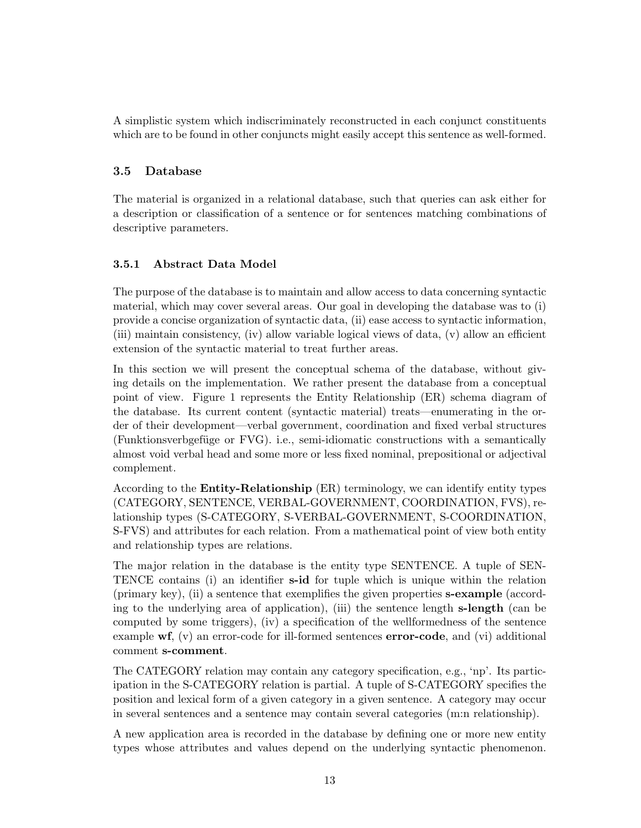A simplistic system which indiscriminately reconstructed in each conjunct constituents which are to be found in other conjuncts might easily accept this sentence as well-formed.

### 3.5 Database

The material is organized in a relational database, such that queries can ask either for a description or classification of a sentence or for sentences matching combinations of descriptive parameters.

### 3.5.1 Abstract Data Model

The purpose of the database is to maintain and allow access to data concerning syntactic material, which may cover several areas. Our goal in developing the database was to (i) provide a concise organization of syntactic data, (ii) ease access to syntactic information, (iii) maintain consistency, (iv) allow variable logical views of data, (v) allow an efficient extension of the syntactic material to treat further areas.

In this section we will present the conceptual schema of the database, without giving details on the implementation. We rather present the database from a conceptual point of view. Figure 1 represents the Entity Relationship (ER) schema diagram of the database. Its current content (syntactic material) treats—enumerating in the order of their development—verbal government, coordination and fixed verbal structures  $(Funktionsverbgefüge or FVG)$ . i.e., semi-idiomatic constructions with a semantically almost void verbal head and some more or less fixed nominal, prepositional or adjectival complement.

According to the Entity-Relationship (ER) terminology, we can identify entity types (CATEGORY, SENTENCE, VERBAL-GOVERNMENT, COORDINATION, FVS), relationship types (S-CATEGORY, S-VERBAL-GOVERNMENT, S-COORDINATION, S-FVS) and attributes for each relation. From a mathematical point of view both entity and relationship types are relations.

The major relation in the database is the entity type SENTENCE. A tuple of SEN-TENCE contains (i) an identifier s-id for tuple which is unique within the relation (primary key), (ii) a sentence that exemplifies the given properties s-example (according to the underlying area of application), (iii) the sentence length s-length (can be computed by some triggers), (iv) a specification of the wellformedness of the sentence example  $\mathbf{wf}$ ,  $(v)$  an error-code for ill-formed sentences **error-code**, and  $(vi)$  additional comment s-comment.

The CATEGORY relation may contain any category specification, e.g., 'np'. Its participation in the S-CATEGORY relation is partial. A tuple of S-CATEGORY specifies the position and lexical form of a given category in a given sentence. A category may occur in several sentences and a sentence may contain several categories (m:n relationship).

A new application area is recorded in the database by defining one or more new entity types whose attributes and values depend on the underlying syntactic phenomenon.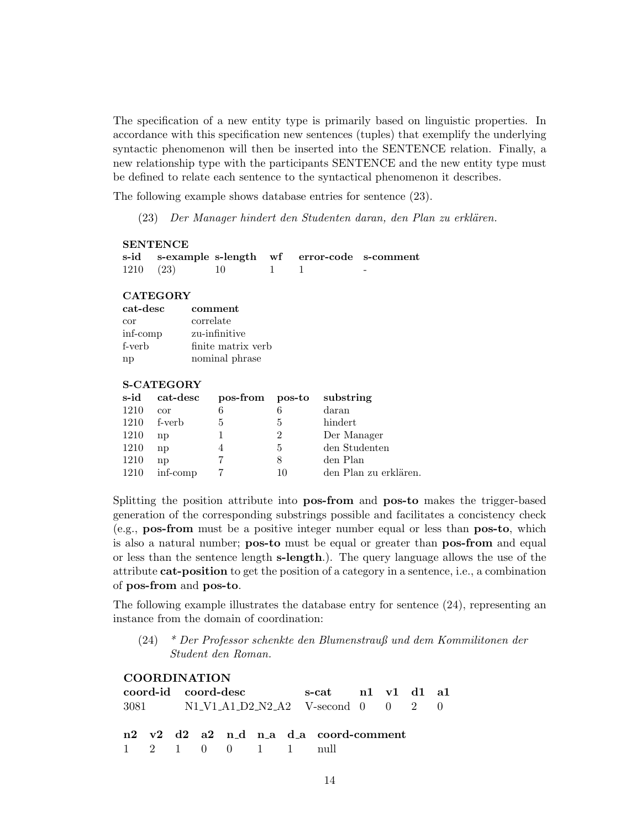The specification of a new entity type is primarily based on linguistic properties. In accordance with this specification new sentences (tuples) that exemplify the underlying syntactic phenomenon will then be inserted into the SENTENCE relation. Finally, a new relationship type with the participants SENTENCE and the new entity type must be defined to relate each sentence to the syntactical phenomenon it describes.

The following example shows database entries for sentence (23).

(23) Der Manager hindert den Studenten daran, den Plan zu erklären.

**SENTENCE** s-id s-example s-length wf error-code s-comment  $1210 \t(23) \t10 \t11$  -

#### **CATEGORY**

| cat-desc | comment            |
|----------|--------------------|
| cor      | correlate          |
| inf-comp | zu-infinitive      |
| f-verb   | finite matrix verb |
| np       | nominal phrase     |

#### S-CATEGORY

| s-id | $\mathop{\text{cat-desc}}$ | pos-from pos-to |    | substring             |
|------|----------------------------|-----------------|----|-----------------------|
| 1210 | cor                        |                 |    | daran                 |
| 1210 | f-verb                     | 5               | 5  | hindert               |
| 1210 | np                         |                 | 2  | Der Manager           |
| 1210 | np                         |                 | 5  | den Studenten         |
| 1210 | np                         |                 | 8  | den Plan              |
| 1210 | inf-comp                   |                 | 10 | den Plan zu erklären. |
|      |                            |                 |    |                       |

Splitting the position attribute into pos-from and pos-to makes the trigger-based generation of the corresponding substrings possible and facilitates a concistency check (e.g., pos-from must be a positive integer number equal or less than pos-to, which is also a natural number; pos-to must be equal or greater than pos-from and equal or less than the sentence length s-length.). The query language allows the use of the attribute cat-position to get the position of a category in a sentence, i.e., a combination of pos-from and pos-to.

The following example illustrates the database entry for sentence (24), representing an instance from the domain of coordination:

(24) \* Der Professor schenkte den Blumenstrauß und dem Kommilitonen der Student den Roman.

#### COORDINATION

|  |  | coord-id coord-desc |  | s-cat n1 v1 d1 a1                                                                                                      |  |  |
|--|--|---------------------|--|------------------------------------------------------------------------------------------------------------------------|--|--|
|  |  |                     |  | $3081$ N1_V1_A1_D2_N2_A2 V-second 0 0 2 0                                                                              |  |  |
|  |  |                     |  |                                                                                                                        |  |  |
|  |  |                     |  | n <sup>2</sup> v <sup>2</sup> d <sup>2</sup> a <sup>2</sup> n <sub>d</sub> n <sub>a</sub> d <sub>a</sub> coord-comment |  |  |
|  |  | 1 2 1 0 0 1 1 null  |  |                                                                                                                        |  |  |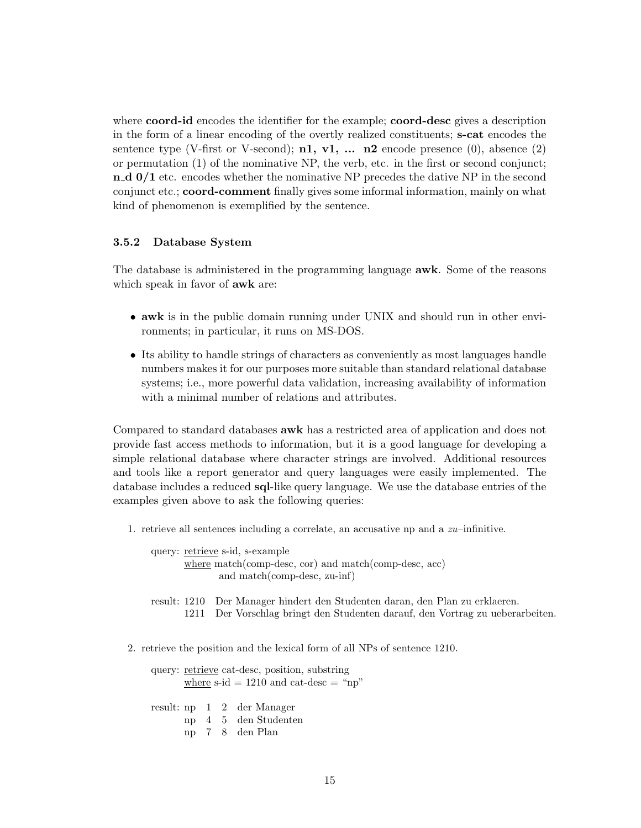where **coord-id** encodes the identifier for the example; **coord-desc** gives a description in the form of a linear encoding of the overtly realized constituents; s-cat encodes the sentence type (V-first or V-second);  $n1, v1, ...$  n2 encode presence (0), absence (2) or permutation (1) of the nominative NP, the verb, etc. in the first or second conjunct;  $n_d$  d  $0/1$  etc. encodes whether the nominative NP precedes the dative NP in the second conjunct etc.; coord-comment finally gives some informal information, mainly on what kind of phenomenon is exemplified by the sentence.

#### 3.5.2 Database System

The database is administered in the programming language awk. Some of the reasons which speak in favor of **awk** are:

- awk is in the public domain running under UNIX and should run in other environments; in particular, it runs on MS-DOS.
- Its ability to handle strings of characters as conveniently as most languages handle numbers makes it for our purposes more suitable than standard relational database systems; i.e., more powerful data validation, increasing availability of information with a minimal number of relations and attributes.

Compared to standard databases awk has a restricted area of application and does not provide fast access methods to information, but it is a good language for developing a simple relational database where character strings are involved. Additional resources and tools like a report generator and query languages were easily implemented. The database includes a reduced sql-like query language. We use the database entries of the examples given above to ask the following queries:

1. retrieve all sentences including a correlate, an accusative np and a zu–infinitive.

query: retrieve s-id, s-example where match(comp-desc, cor) and match(comp-desc, acc) and match(comp-desc, zu-inf)

- result: 1210 Der Manager hindert den Studenten daran, den Plan zu erklaeren.
	- 1211 Der Vorschlag bringt den Studenten darauf, den Vortrag zu ueberarbeiten.

2. retrieve the position and the lexical form of all NPs of sentence 1210.

query: retrieve cat-desc, position, substring where  $s$ -id = 1210 and cat-desc = "np" result: np 1 2 der Manager np 4 5 den Studenten np 7 8 den Plan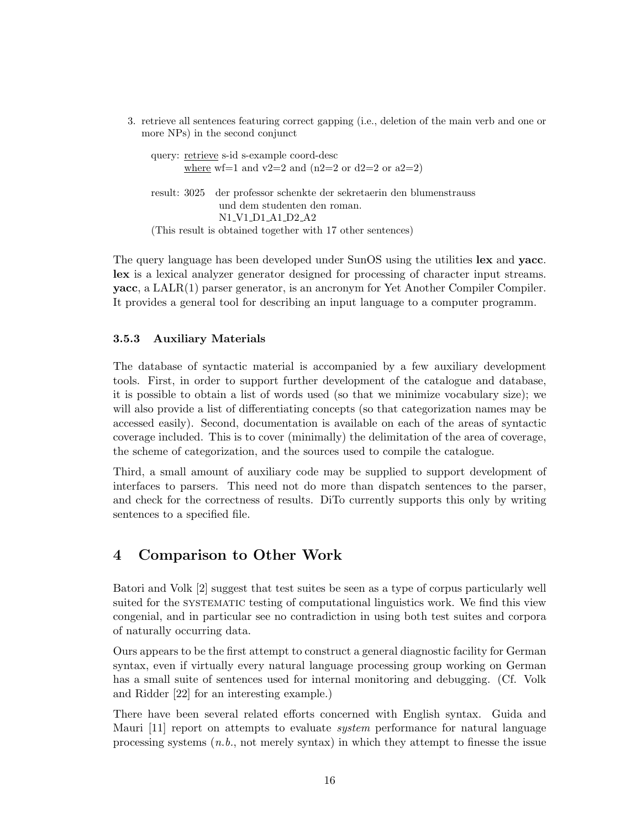3. retrieve all sentences featuring correct gapping (i.e., deletion of the main verb and one or more NPs) in the second conjunct

query: retrieve s-id s-example coord-desc where wf=1 and v2=2 and  $(n2=2 \text{ or } d2=2 \text{ or } a2=2)$ result: 3025 der professor schenkte der sekretaerin den blumenstrauss und dem studenten den roman. N1\_V1\_D1\_A1\_D2\_A2 (This result is obtained together with 17 other sentences)

The query language has been developed under SunOS using the utilities lex and yacc. lex is a lexical analyzer generator designed for processing of character input streams. yacc, a LALR(1) parser generator, is an ancronym for Yet Another Compiler Compiler. It provides a general tool for describing an input language to a computer programm.

### 3.5.3 Auxiliary Materials

The database of syntactic material is accompanied by a few auxiliary development tools. First, in order to support further development of the catalogue and database, it is possible to obtain a list of words used (so that we minimize vocabulary size); we will also provide a list of differentiating concepts (so that categorization names may be accessed easily). Second, documentation is available on each of the areas of syntactic coverage included. This is to cover (minimally) the delimitation of the area of coverage, the scheme of categorization, and the sources used to compile the catalogue.

Third, a small amount of auxiliary code may be supplied to support development of interfaces to parsers. This need not do more than dispatch sentences to the parser, and check for the correctness of results. DiTo currently supports this only by writing sentences to a specified file.

# 4 Comparison to Other Work

Batori and Volk [2] suggest that test suites be seen as a type of corpus particularly well suited for the systematic testing of computational linguistics work. We find this view congenial, and in particular see no contradiction in using both test suites and corpora of naturally occurring data.

Ours appears to be the first attempt to construct a general diagnostic facility for German syntax, even if virtually every natural language processing group working on German has a small suite of sentences used for internal monitoring and debugging. (Cf. Volk and Ridder [22] for an interesting example.)

There have been several related efforts concerned with English syntax. Guida and Mauri [11] report on attempts to evaluate *system* performance for natural language processing systems  $(n.b., not merely syntax)$  in which they attempt to finesse the issue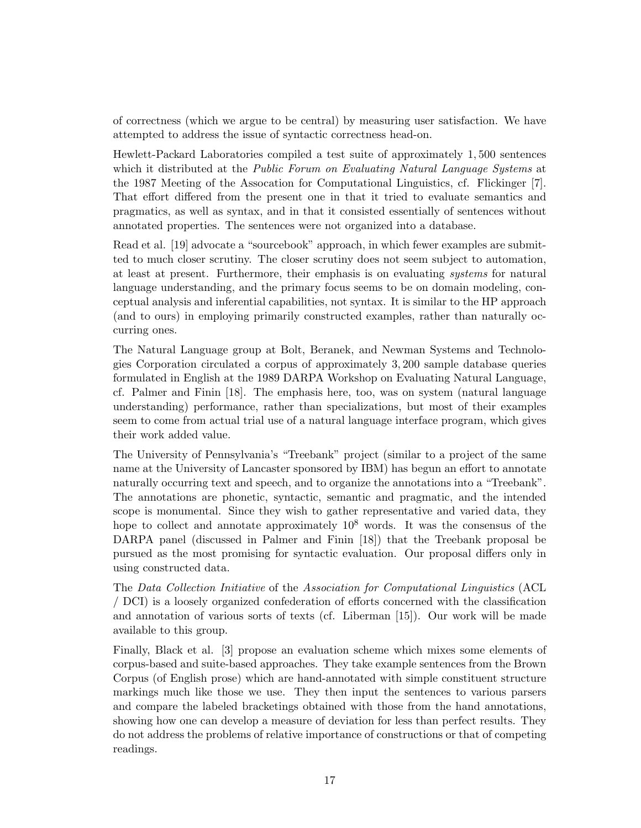of correctness (which we argue to be central) by measuring user satisfaction. We have attempted to address the issue of syntactic correctness head-on.

Hewlett-Packard Laboratories compiled a test suite of approximately 1, 500 sentences which it distributed at the *Public Forum on Evaluating Natural Language Systems* at the 1987 Meeting of the Assocation for Computational Linguistics, cf. Flickinger [7]. That effort differed from the present one in that it tried to evaluate semantics and pragmatics, as well as syntax, and in that it consisted essentially of sentences without annotated properties. The sentences were not organized into a database.

Read et al. [19] advocate a "sourcebook" approach, in which fewer examples are submitted to much closer scrutiny. The closer scrutiny does not seem subject to automation, at least at present. Furthermore, their emphasis is on evaluating systems for natural language understanding, and the primary focus seems to be on domain modeling, conceptual analysis and inferential capabilities, not syntax. It is similar to the HP approach (and to ours) in employing primarily constructed examples, rather than naturally occurring ones.

The Natural Language group at Bolt, Beranek, and Newman Systems and Technologies Corporation circulated a corpus of approximately 3, 200 sample database queries formulated in English at the 1989 DARPA Workshop on Evaluating Natural Language, cf. Palmer and Finin [18]. The emphasis here, too, was on system (natural language understanding) performance, rather than specializations, but most of their examples seem to come from actual trial use of a natural language interface program, which gives their work added value.

The University of Pennsylvania's "Treebank" project (similar to a project of the same name at the University of Lancaster sponsored by IBM) has begun an effort to annotate naturally occurring text and speech, and to organize the annotations into a "Treebank". The annotations are phonetic, syntactic, semantic and pragmatic, and the intended scope is monumental. Since they wish to gather representative and varied data, they hope to collect and annotate approximately  $10^8$  words. It was the consensus of the DARPA panel (discussed in Palmer and Finin [18]) that the Treebank proposal be pursued as the most promising for syntactic evaluation. Our proposal differs only in using constructed data.

The Data Collection Initiative of the Association for Computational Linguistics (ACL / DCI) is a loosely organized confederation of efforts concerned with the classification and annotation of various sorts of texts (cf. Liberman [15]). Our work will be made available to this group.

Finally, Black et al. [3] propose an evaluation scheme which mixes some elements of corpus-based and suite-based approaches. They take example sentences from the Brown Corpus (of English prose) which are hand-annotated with simple constituent structure markings much like those we use. They then input the sentences to various parsers and compare the labeled bracketings obtained with those from the hand annotations, showing how one can develop a measure of deviation for less than perfect results. They do not address the problems of relative importance of constructions or that of competing readings.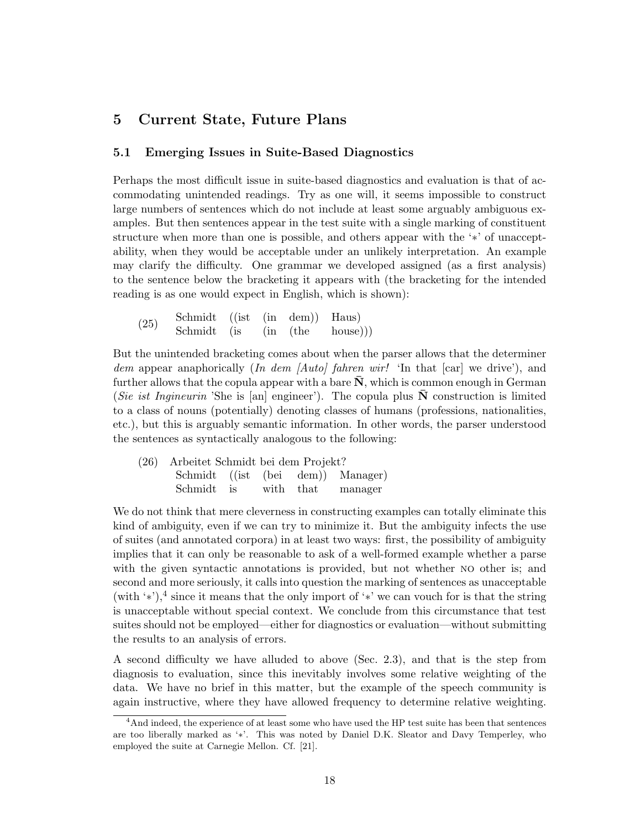## 5 Current State, Future Plans

#### 5.1 Emerging Issues in Suite-Based Diagnostics

Perhaps the most difficult issue in suite-based diagnostics and evaluation is that of accommodating unintended readings. Try as one will, it seems impossible to construct large numbers of sentences which do not include at least some arguably ambiguous examples. But then sentences appear in the test suite with a single marking of constituent structure when more than one is possible, and others appear with the '\*' of unacceptability, when they would be acceptable under an unlikely interpretation. An example may clarify the difficulty. One grammar we developed assigned (as a first analysis) to the sentence below the bracketing it appears with (the bracketing for the intended reading is as one would expect in English, which is shown):

| (25) | Schmidt $((\text{ist } (\text{in } \text{dem}))$ Haus) |  |            |         |
|------|--------------------------------------------------------|--|------------|---------|
|      | Schmidt (is                                            |  | $(in$ (the | house)) |

But the unintended bracketing comes about when the parser allows that the determiner dem appear anaphorically (In dem [Auto] fahren wir! 'In that [car] we drive'), and further allows that the copula appear with a bare  $\bar{N}$ , which is common enough in German (Sie ist Ingineurin 'She is [an] engineer'). The copula plus  $\tilde{N}$  construction is limited to a class of nouns (potentially) denoting classes of humans (professions, nationalities, etc.), but this is arguably semantic information. In other words, the parser understood the sentences as syntactically analogous to the following:

| (26) Arbeitet Schmidt bei dem Projekt? |  |  |  |                                   |  |  |
|----------------------------------------|--|--|--|-----------------------------------|--|--|
|                                        |  |  |  | Schmidt ((ist (bei dem)) Manager) |  |  |
|                                        |  |  |  | Schmidt is with that manager      |  |  |

We do not think that mere cleverness in constructing examples can totally eliminate this kind of ambiguity, even if we can try to minimize it. But the ambiguity infects the use of suites (and annotated corpora) in at least two ways: first, the possibility of ambiguity implies that it can only be reasonable to ask of a well-formed example whether a parse with the given syntactic annotations is provided, but not whether no other is; and second and more seriously, it calls into question the marking of sentences as unacceptable (with '∗'),<sup>4</sup> since it means that the only import of '∗' we can vouch for is that the string is unacceptable without special context. We conclude from this circumstance that test suites should not be employed—either for diagnostics or evaluation—without submitting the results to an analysis of errors.

A second difficulty we have alluded to above (Sec. 2.3), and that is the step from diagnosis to evaluation, since this inevitably involves some relative weighting of the data. We have no brief in this matter, but the example of the speech community is again instructive, where they have allowed frequency to determine relative weighting.

<sup>&</sup>lt;sup>4</sup>And indeed, the experience of at least some who have used the HP test suite has been that sentences are too liberally marked as '∗'. This was noted by Daniel D.K. Sleator and Davy Temperley, who employed the suite at Carnegie Mellon. Cf. [21].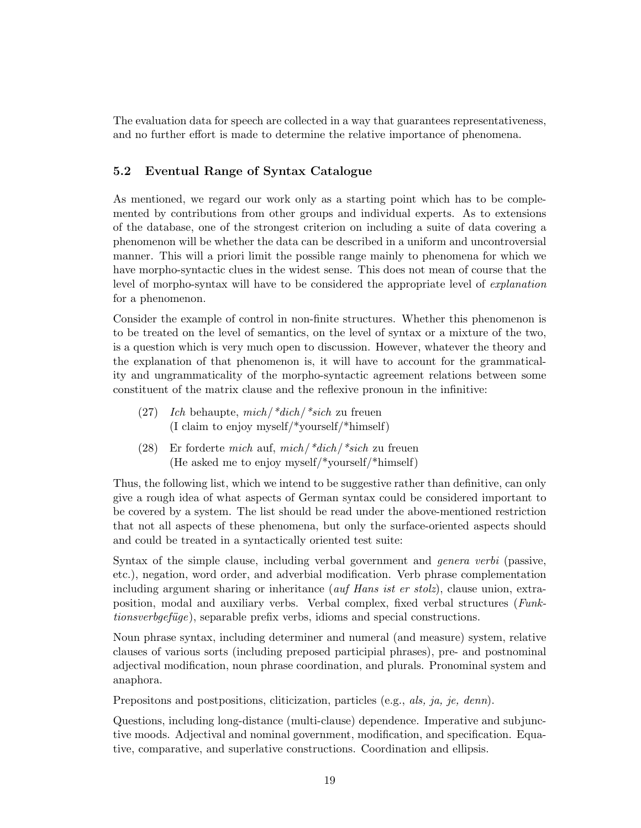The evaluation data for speech are collected in a way that guarantees representativeness, and no further effort is made to determine the relative importance of phenomena.

### 5.2 Eventual Range of Syntax Catalogue

As mentioned, we regard our work only as a starting point which has to be complemented by contributions from other groups and individual experts. As to extensions of the database, one of the strongest criterion on including a suite of data covering a phenomenon will be whether the data can be described in a uniform and uncontroversial manner. This will a priori limit the possible range mainly to phenomena for which we have morpho-syntactic clues in the widest sense. This does not mean of course that the level of morpho-syntax will have to be considered the appropriate level of explanation for a phenomenon.

Consider the example of control in non-finite structures. Whether this phenomenon is to be treated on the level of semantics, on the level of syntax or a mixture of the two, is a question which is very much open to discussion. However, whatever the theory and the explanation of that phenomenon is, it will have to account for the grammaticality and ungrammaticality of the morpho-syntactic agreement relations between some constituent of the matrix clause and the reflexive pronoun in the infinitive:

- (27) Ich behaupte,  $mich$  /\*dich/\*sich zu freuen (I claim to enjoy myself/\*yourself/\*himself)
- (28) Er forderte mich auf, mich/\*dich/\*sich zu freuen (He asked me to enjoy myself/\*yourself/\*himself)

Thus, the following list, which we intend to be suggestive rather than definitive, can only give a rough idea of what aspects of German syntax could be considered important to be covered by a system. The list should be read under the above-mentioned restriction that not all aspects of these phenomena, but only the surface-oriented aspects should and could be treated in a syntactically oriented test suite:

Syntax of the simple clause, including verbal government and genera verbi (passive, etc.), negation, word order, and adverbial modification. Verb phrase complementation including argument sharing or inheritance (auf Hans ist er stolz), clause union, extraposition, modal and auxiliary verbs. Verbal complex, fixed verbal structures (Funktionsverbgefüge), separable prefix verbs, idioms and special constructions.

Noun phrase syntax, including determiner and numeral (and measure) system, relative clauses of various sorts (including preposed participial phrases), pre- and postnominal adjectival modification, noun phrase coordination, and plurals. Pronominal system and anaphora.

Prepositons and postpositions, cliticization, particles (e.g., als, ja, je, denn).

Questions, including long-distance (multi-clause) dependence. Imperative and subjunctive moods. Adjectival and nominal government, modification, and specification. Equative, comparative, and superlative constructions. Coordination and ellipsis.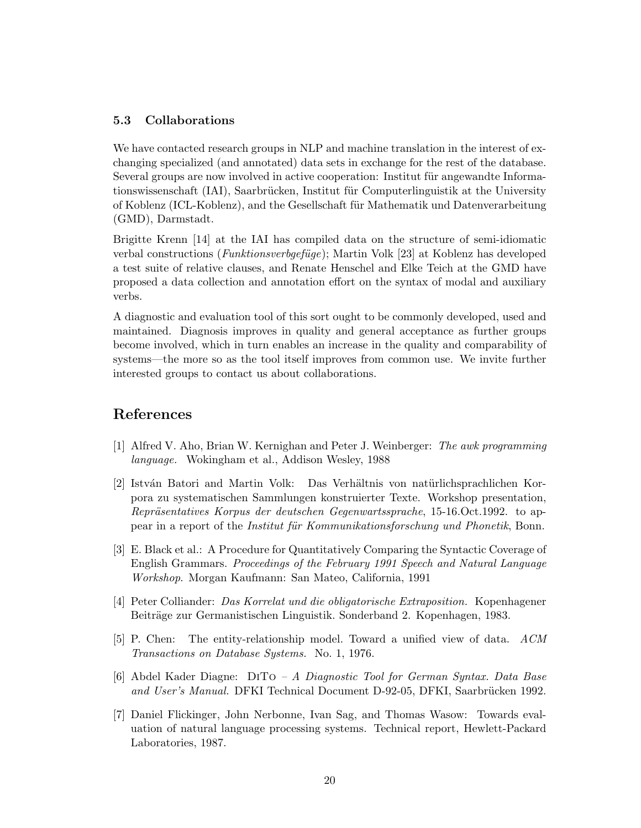#### 5.3 Collaborations

We have contacted research groups in NLP and machine translation in the interest of exchanging specialized (and annotated) data sets in exchange for the rest of the database. Several groups are now involved in active cooperation: Institut für angewandte Informationswissenschaft (IAI), Saarbrücken, Institut für Computerlinguistik at the University of Koblenz (ICL-Koblenz), and the Gesellschaft für Mathematik und Datenverarbeitung (GMD), Darmstadt.

Brigitte Krenn [14] at the IAI has compiled data on the structure of semi-idiomatic verbal constructions ( $Funktionsverbqefüqe$ ); Martin Volk [23] at Koblenz has developed a test suite of relative clauses, and Renate Henschel and Elke Teich at the GMD have proposed a data collection and annotation effort on the syntax of modal and auxiliary verbs.

A diagnostic and evaluation tool of this sort ought to be commonly developed, used and maintained. Diagnosis improves in quality and general acceptance as further groups become involved, which in turn enables an increase in the quality and comparability of systems—the more so as the tool itself improves from common use. We invite further interested groups to contact us about collaborations.

# References

- [1] Alfred V. Aho, Brian W. Kernighan and Peter J. Weinberger: The awk programming language. Wokingham et al., Addison Wesley, 1988
- [2] István Batori and Martin Volk: Das Verhältnis von natürlichsprachlichen Korpora zu systematischen Sammlungen konstruierter Texte. Workshop presentation, Repräsentatives Korpus der deutschen Gegenwartssprache, 15-16.Oct.1992. to appear in a report of the *Institut für Kommunikationsforschung und Phonetik*, Bonn.
- [3] E. Black et al.: A Procedure for Quantitatively Comparing the Syntactic Coverage of English Grammars. Proceedings of the February 1991 Speech and Natural Language Workshop. Morgan Kaufmann: San Mateo, California, 1991
- [4] Peter Colliander: Das Korrelat und die obligatorische Extraposition. Kopenhagener Beiträge zur Germanistischen Linguistik. Sonderband 2. Kopenhagen, 1983.
- [5] P. Chen: The entity-relationship model. Toward a unified view of data. ACM Transactions on Database Systems. No. 1, 1976.
- [6] Abdel Kader Diagne: DiTo A Diagnostic Tool for German Syntax. Data Base and User's Manual. DFKI Technical Document D-92-05, DFKI, Saarbrücken 1992.
- [7] Daniel Flickinger, John Nerbonne, Ivan Sag, and Thomas Wasow: Towards evaluation of natural language processing systems. Technical report, Hewlett-Packard Laboratories, 1987.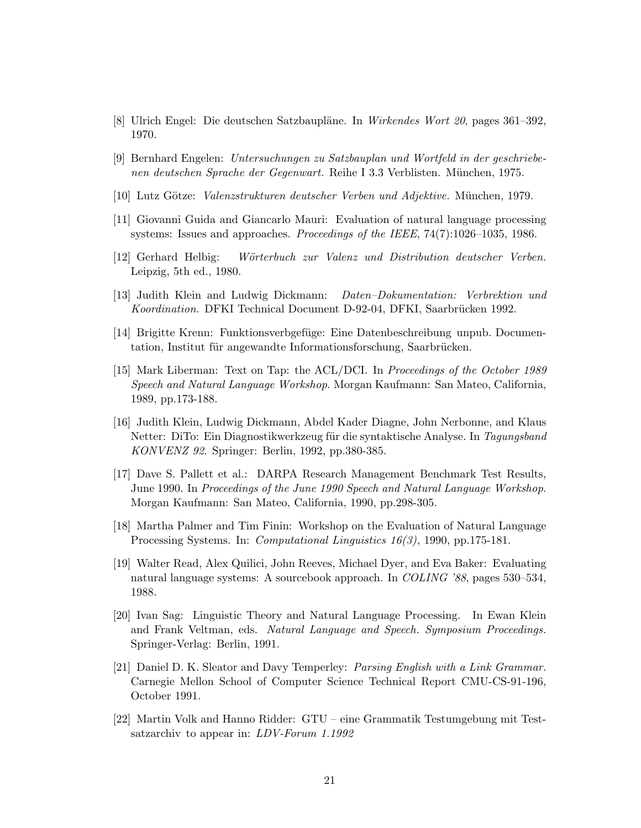- [8] Ulrich Engel: Die deutschen Satzbaupläne. In Wirkendes Wort 20, pages 361–392, 1970.
- [9] Bernhard Engelen: Untersuchungen zu Satzbauplan und Wortfeld in der geschriebenen deutschen Sprache der Gegenwart. Reihe I 3.3 Verblisten. München, 1975.
- [10] Lutz Götze: *Valenzstrukturen deutscher Verben und Adjektive*. München, 1979.
- [11] Giovanni Guida and Giancarlo Mauri: Evaluation of natural language processing systems: Issues and approaches. *Proceedings of the IEEE*, 74(7):1026–1035, 1986.
- [12] Gerhard Helbig: Wörterbuch zur Valenz und Distribution deutscher Verben. Leipzig, 5th ed., 1980.
- [13] Judith Klein and Ludwig Dickmann: Daten–Dokumentation: Verbrektion und Koordination. DFKI Technical Document D-92-04, DFKI, Saarbrücken 1992.
- [14] Brigitte Krenn: Funktionsverbgefüge: Eine Datenbeschreibung unpub. Documentation, Institut für angewandte Informationsforschung, Saarbrücken.
- [15] Mark Liberman: Text on Tap: the ACL/DCI. In Proceedings of the October 1989 Speech and Natural Language Workshop. Morgan Kaufmann: San Mateo, California, 1989, pp.173-188.
- [16] Judith Klein, Ludwig Dickmann, Abdel Kader Diagne, John Nerbonne, and Klaus Netter: DiTo: Ein Diagnostikwerkzeug für die syntaktische Analyse. In Tagungsband KONVENZ 92. Springer: Berlin, 1992, pp.380-385.
- [17] Dave S. Pallett et al.: DARPA Research Management Benchmark Test Results, June 1990. In Proceedings of the June 1990 Speech and Natural Language Workshop. Morgan Kaufmann: San Mateo, California, 1990, pp.298-305.
- [18] Martha Palmer and Tim Finin: Workshop on the Evaluation of Natural Language Processing Systems. In: Computational Linguistics 16(3), 1990, pp.175-181.
- [19] Walter Read, Alex Quilici, John Reeves, Michael Dyer, and Eva Baker: Evaluating natural language systems: A sourcebook approach. In COLING '88, pages 530–534, 1988.
- [20] Ivan Sag: Linguistic Theory and Natural Language Processing. In Ewan Klein and Frank Veltman, eds. Natural Language and Speech. Symposium Proceedings. Springer-Verlag: Berlin, 1991.
- [21] Daniel D. K. Sleator and Davy Temperley: Parsing English with a Link Grammar. Carnegie Mellon School of Computer Science Technical Report CMU-CS-91-196, October 1991.
- [22] Martin Volk and Hanno Ridder: GTU eine Grammatik Testumgebung mit Testsatzarchiv to appear in: *LDV-Forum* 1.1992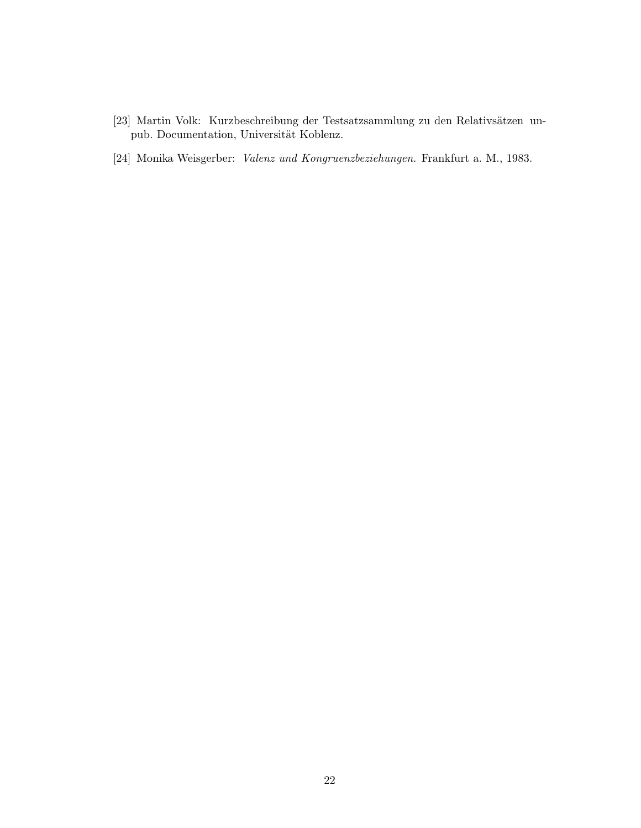- [23] Martin Volk: Kurzbeschreibung der Testsatzsammlung zu den Relativsätzen unpub. Documentation, Universität Koblenz.
- [24] Monika Weisgerber: Valenz und Kongruenzbeziehungen. Frankfurt a. M., 1983.